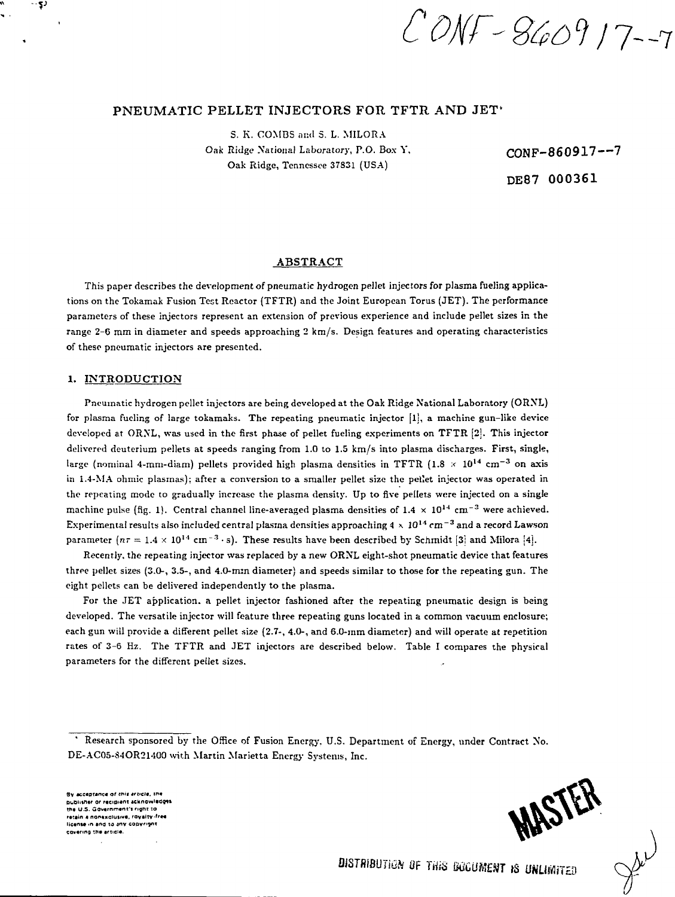CONF-860917-7

# PNEUMATIC PELLET INJECTORS FOR TFTR AND JET'

S. K. COMBS and S. L. MILORA Oak Ridge National Laboratory, P.O. Box Y, CONF-860917--7 Oak Ridge, Tennessee 37831 (USA)

DE87 000361

### **ABSTRACT**

This paper describes the development of pneumatic hydrogen pellet injectors for plasma fueling applications on the Tokamak Fusion Test Reactor (TFTR) and the Joint European Torus (JET). The performance parameters of these injectors represent an extension of previous experience and include pellet sizes in the range 2-6 mm in diameter and speeds approaching 2 km/s. Design features and operating characteristics of these pneumatic injectors are presented.

## **1. INTRODUCTION**

ري .

Pneumatic hydrogen pellet injectors are being developed at the Oak Ridge National Laboratory (ORNL) for plasma fueling of large tokamaks. The repeating pneumatic injector  $[1]$ , a machine gun-like device developed at ORNL, was used in the first phase of pellet fueling experiments on TFTR [2j. This injector delivered deuterium pellets at speeds ranging from 1.0 to 1.5 km/s into plasma discharges. First, single, large (nominal 4-mm-diam) pellets provided high plasma densities in TFTR (1.8  $\times$  10<sup>14</sup> cm<sup>-3</sup> on axis in 1.4-MA ohmic plasmas): after a conversion to a smaller pellet size the pellet injector was operated in the repeating mode to gradually increase the plasma density. Up to five pellets were injected on a single machine pulse (fig. 1). Central channel line-averaged plasma densities of  $1.4 \times 10^{14}$  cm<sup>-3</sup> were achieved.  $\sum_{i=1}^{n}$  Experimental results also included central plasma densities approaching 4  $\times$   $10^{14}$  cm<sup>-3</sup> and a record Lawson parameter  $(n\tau = 1.4 \times 10^{14} \text{ cm}^{-3} \cdot \text{s})$ . These results have been described by Schmidt [3] and Milora [4].

Recently, the repeating injector was replaced by a new ORNL eight-shot pneumatic device that features three pellet sizes (3.0-, 3.5-, and 4.0-mm diameter) and speeds similar to those for the repeating gun. The eight pellets can be delivered independently to the plasma.

For the JET application, a pellet injector fashioned after the repeating pneumatic design is being developed. The versatile injector will feature three repeating guns located in a common vacuum enclosure; each gun will provide a different pellet size (2.7-, 4.0-, and 6.0-mm diameter) and will operate at repetition rates of 3-6 Hz. The TFTR and JET injectors are described below. Table I compares the physical parameters for the different pellet sizes.

**Sv aceflor«nc« of (ft'i trvcta, if\* DidOUtn«r or r«at»\*ni acknowledges t M U.S. Government<sup>1</sup> ) nght to retain a nonexclusive, royalty''\*\* Micense in and to any copyright**<br>covering the article.

Research sponsored by the Office of Fusion Energy. U.S. Department of Energy, under Contract No. DE-AC05-84OR21400 with Martin Marietta Energy Systems, Inc.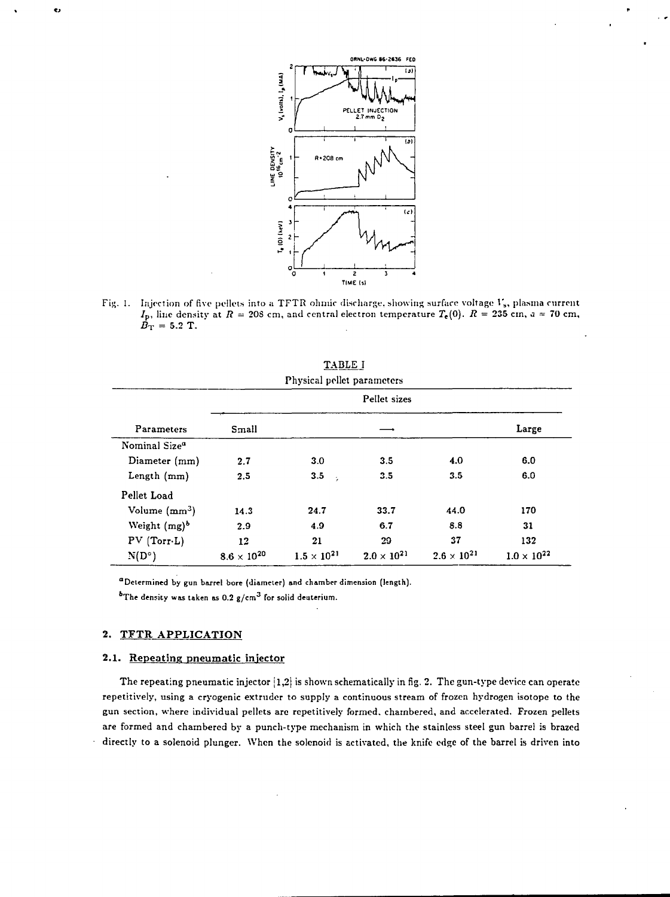

I. Injection of five pellets into a TFTR ohmic discharge, showing surface voltage  $V_{\rm s},$  plasma current  $I_{\rm p}$ , line density at  $R=208$  cm, and central electron temperature  $T_{\rm e}(0).$   $R=235$  cm,  $a=70$  cm,  $B_T = 5.2$  T.

| Physical pellet parameters |                      |                      |                      |                      |                      |
|----------------------------|----------------------|----------------------|----------------------|----------------------|----------------------|
|                            | Pellet sizes         |                      |                      |                      |                      |
| <b>Parameters</b>          | Small                |                      |                      |                      | Large                |
| Nominal Size <sup>a</sup>  |                      |                      |                      |                      |                      |
| Diameter (mm)              | 2.7                  | 3.0                  | 3.5                  | 4.0                  | 6.0                  |
| Length $(mm)$              | 2,5                  | 3.5<br>÷,            | 3.5                  | 3.5                  | 6.0                  |
| Pellet Load                |                      |                      |                      |                      |                      |
| Volume $(mm^3)$            | 14.3                 | 24.7                 | 33.7                 | 44.0                 | 170                  |
| Weight $(mg)^b$            | 2.9                  | 4.9                  | 6.7                  | 8.8                  | 31                   |
| PV(Torr.L)                 | 12                   | 21                   | 29                   | 37                   | 132                  |
| $N(D^{\circ})$             | $8.6 \times 10^{20}$ | $1.5 \times 10^{21}$ | $2.0 \times 10^{21}$ | $2.6 \times 10^{21}$ | $1.0 \times 10^{22}$ |

TABLE I

**"Determined by gun barrel bore (diameter) and chamber dimension (length).**

**The density was taken as 0.2 g/cm<sup>3</sup> for solid deuterium.**

# **2. TFTR APPLICATION**

ė.

# **2.1. Repeating pneumatic injector**

The repeating pneumatic injector **[1,2}** is shown schematically in fig. 2. The gun-type device can operate repetitively, using a cryogenic extruder to supply a continuous stream of frozen hydrogen isotope to the gun section, where individual pellets are repetitively formed, chambered, and accelerated. Frozen pellets are formed and chambered by a punch-type mechanism in which the stainless steel gun barrel is brazed directly to a solenoid plunger. When the solenoid is activated, the knife edge of the barrel is driven into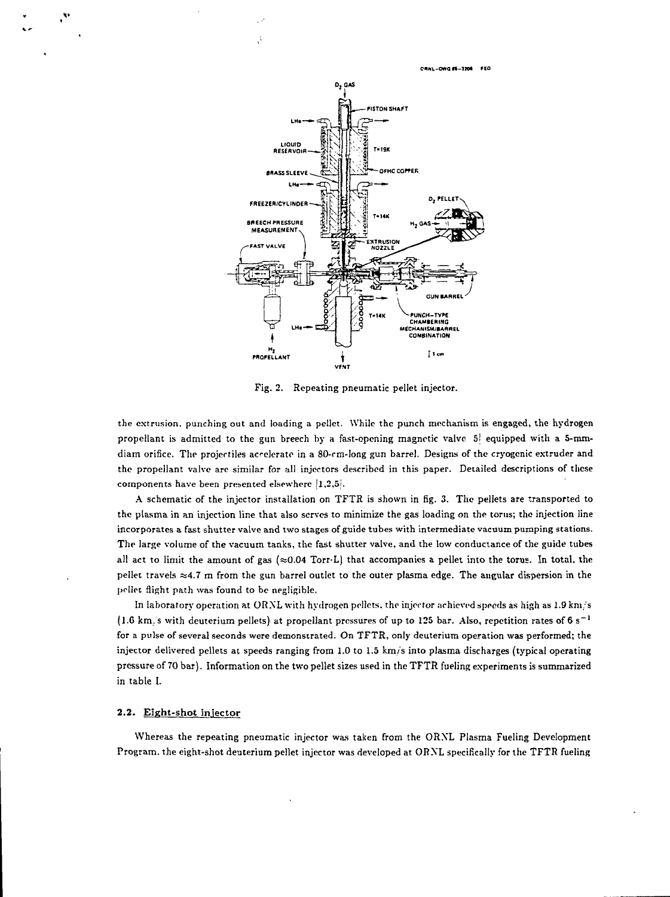**CUNL-OWO ff-32M FEO**



À,

Fig. 2. Repeating pneumatic pellet injector.

the extrusion, punching out and loading a pellet. While the punch mechanism is engaged, the hydrogen propellant is admitted to the gun breech by a fast-opening magnetic valve 51 equipped with a 5-mmdiam orifice. The projectiles accelerate in a 80-rm-long gun barrel. Designs of the cryogenic extruder and the propellant valve are similar for all injectors described in this paper. Detailed descriptions of these components have been presented elsewhere  $[1,2,5]$ .

A schematic of the injector installation on TFTR is shown in fig. 3. The pellets are transported to the plasma in an injection line that also serves to minimize the gas loading on the torus; the injection line incorporates a fast shutter valve and two stages of guide tubes with intermediate vacuum pumping stations. The large volume of the vacuum tanks, the fast shutter valve, and the low conductance of the guide tubes all act to limit the amount of gas ( $\approx 0.04$  Torr-L) that accompanies a pellet into the torus. In total, the pellet travels  $\approx$ 4.7 m from the gun barrel outlet to the outer plasma edge. The angular dispersion in the pellet flight path was found to be negligible.

In laboratory operation at ORNL with hydrogen pellets, the injector achieved speeds as high as 1.9 km/s  $(1.6 \text{ km})$  s with deuterium pellets) at propellant pressures of up to 125 bar. Also, repetition rates of 6 s<sup>-1</sup> for a pulse of several seconds were demonstrated. On TFTR, only deuterium operation was performed; the injector delivered pellets at speeds ranging from 1.0 to 1.5 km/s into plasma discharges (typical operating pressure of 70 bar). Information on the two pellet sizes used in the TFTR fueling experiments is summarized in table I.

#### 2.2. Eight-shot injector

Whereas the repeating pneumatic injector was taken from the ORXL Plasma Fueling Development Program, the eight-shot deuterium pellet injector was developed at ORXL specifically for the TFTR fueling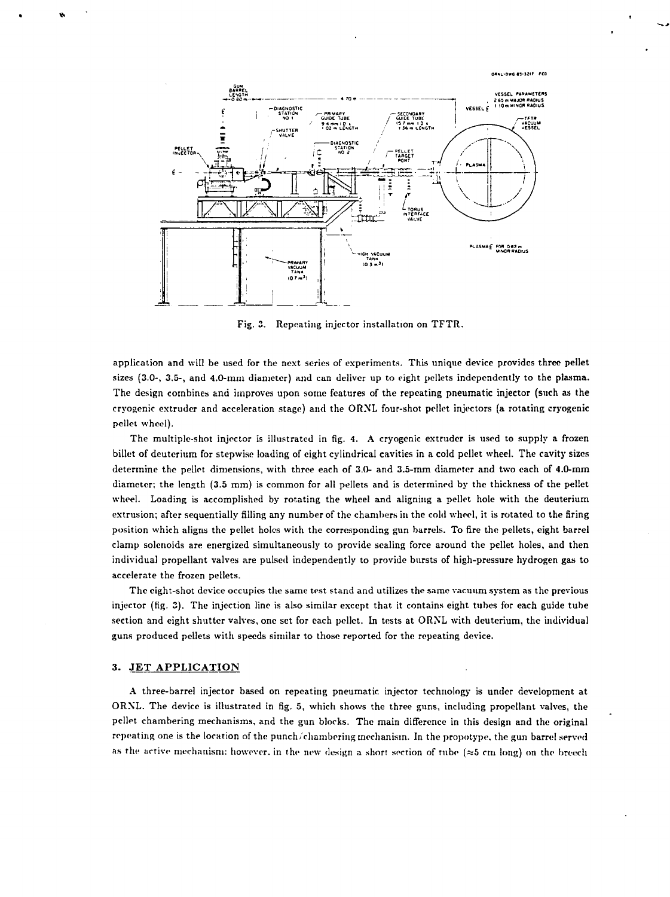

Fig. 3. Repeating injector installation on TFTR.

application and will be used for the next series of experiments. This unique device provides three pellet sizes (3.0-, 3.5-, and 4.0-mm diameter) and can deliver up to eight pellets independently to the plasma. The design combines and improves upon some features of the repeating pneumatic injector (such as the cryogenic extruder and acceleration stage) and the ORNL four-shot pellet injectors (a rotating cryogenic pellet wheel).

The multiple-shot injector is illustrated in fig. 4. A cryogenic extruder is used to supply a frozen billet of deuterium for stepwise loading of eight cylindrical cavities in a cold pellet wheel. The cavity sizes determine the pellet dimensions, with three each of 3.0- and 3.5-mm diameter and two each of 4.0-mm diameter; the length (3.5 mm) is common for all pellets and is determined by the thickness of the pellet wheel. Loading is accomplished by rotating the wheel and aligning a pellet hole with the deuterium extrusion; after sequentially filling any number of the chambers in the cold wheel, it is rotated to the firing position which aligns the pellet holes with the corresponding gun barrels. To fire the pellets, eight barrel clamp solenoids are energized simultaneously to provide sealing force around the pellet holes, and then individual propellant valves are pulsed independently to provide bursts of high-pressure hydrogen gas to accelerate the frozen pellets.

The eight-shot device occupies the same test stand and utilizes the same vacuum system as the previous injector (fig. 3). The injection line is also similar except that it contains eight tubes for each guide tube section and eight shutter valves, one set for each pellet. In tests at ORNL with deuterium, the individual guns produced pellets with speeds similar to those reported for the repeating device.

# 3. JET APPLICATION

¢

A three-barrel injector based on repeating pneumatic injector technology is under development at ORNL. The device is illustrated in fig. 5, which shows the three guns, including propellant valves, the pellet chambering mechanisms, and the gun blocks. The main difference in this design and the original repeating one is the location of the punch/chambering mechanism. In the propotype, the gun barrel served as the active mechanism: however, in the new design a short section of tube  $(\approx 5 \text{ cm} \text{ long})$  on the breech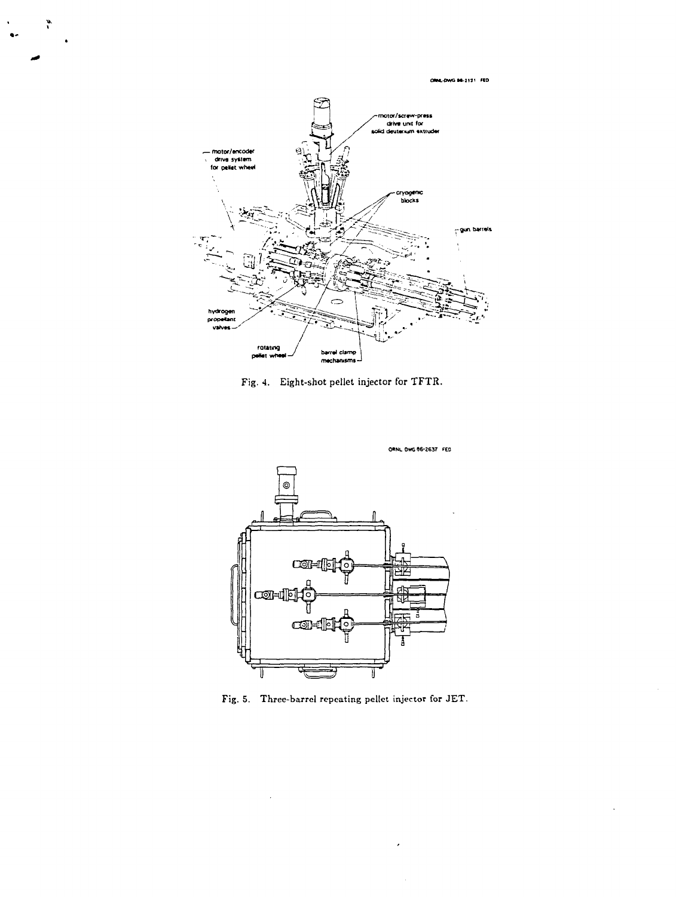ORKL-DWG 84-2121 FED



 $\ddot{\phantom{a}}$ 

 $\bullet$ 

Fig. 4. Eight-shot pellet injector for TFTR.